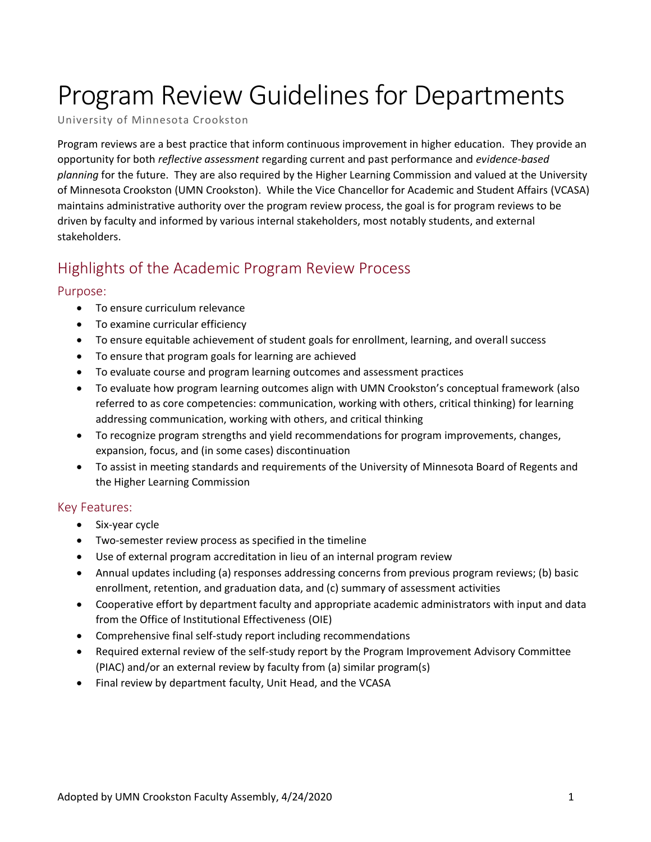# Program Review Guidelines for Departments

University of Minnesota Crookston

Program reviews are a best practice that inform continuous improvement in higher education. They provide an opportunity for both *reflective assessment* regarding current and past performance and *evidence-based planning* for the future. They are also required by the Higher Learning Commission and valued at the University of Minnesota Crookston (UMN Crookston). While the Vice Chancellor for Academic and Student Affairs (VCASA) maintains administrative authority over the program review process, the goal is for program reviews to be driven by faculty and informed by various internal stakeholders, most notably students, and external stakeholders.

# Highlights of the Academic Program Review Process

#### Purpose:

- To ensure curriculum relevance
- To examine curricular efficiency
- To ensure equitable achievement of student goals for enrollment, learning, and overall success
- To ensure that program goals for learning are achieved
- To evaluate course and program learning outcomes and assessment practices
- To evaluate how program learning outcomes align with UMN Crookston's conceptual framework (also referred to as core competencies: communication, working with others, critical thinking) for learning addressing communication, working with others, and critical thinking
- To recognize program strengths and yield recommendations for program improvements, changes, expansion, focus, and (in some cases) discontinuation
- To assist in meeting standards and requirements of the University of Minnesota Board of Regents and the Higher Learning Commission

#### Key Features:

- Six-year cycle
- Two-semester review process as specified in the timeline
- Use of external program accreditation in lieu of an internal program review
- Annual updates including (a) responses addressing concerns from previous program reviews; (b) basic enrollment, retention, and graduation data, and (c) summary of assessment activities
- Cooperative effort by department faculty and appropriate academic administrators with input and data from the Office of Institutional Effectiveness (OIE)
- Comprehensive final self-study report including recommendations
- Required external review of the self-study report by the Program Improvement Advisory Committee (PIAC) and/or an external review by faculty from (a) similar program(s)
- Final review by department faculty, Unit Head, and the VCASA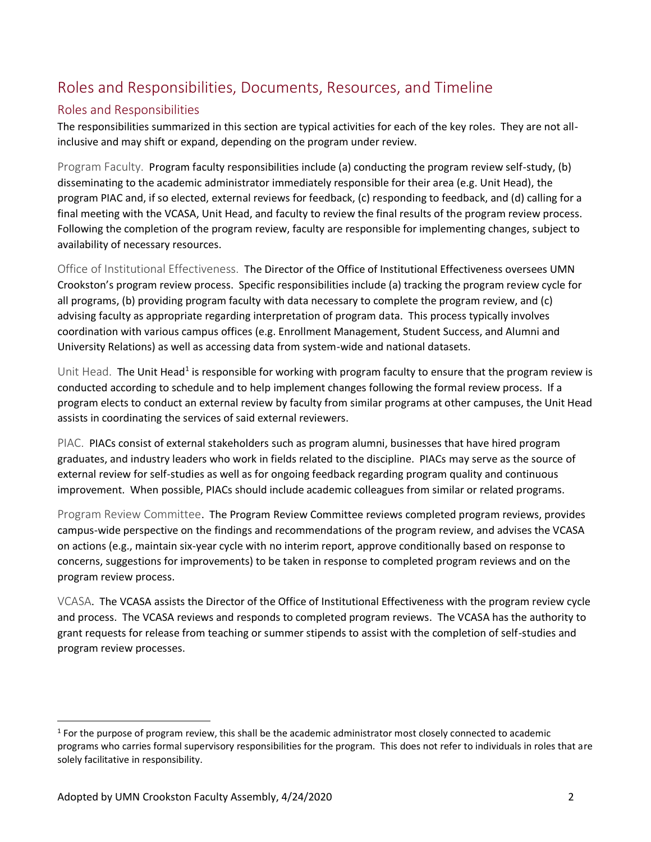# Roles and Responsibilities, Documents, Resources, and Timeline

## Roles and Responsibilities

The responsibilities summarized in this section are typical activities for each of the key roles. They are not allinclusive and may shift or expand, depending on the program under review.

Program Faculty. Program faculty responsibilities include (a) conducting the program review self-study, (b) disseminating to the academic administrator immediately responsible for their area (e.g. Unit Head), the program PIAC and, if so elected, external reviews for feedback, (c) responding to feedback, and (d) calling for a final meeting with the VCASA, Unit Head, and faculty to review the final results of the program review process. Following the completion of the program review, faculty are responsible for implementing changes, subject to availability of necessary resources.

Office of Institutional Effectiveness. The Director of the Office of Institutional Effectiveness oversees UMN Crookston's program review process. Specific responsibilities include (a) tracking the program review cycle for all programs, (b) providing program faculty with data necessary to complete the program review, and (c) advising faculty as appropriate regarding interpretation of program data. This process typically involves coordination with various campus offices (e.g. Enrollment Management, Student Success, and Alumni and University Relations) as well as accessing data from system-wide and national datasets.

Unit Head. The Unit Head<sup>1</sup> is responsible for working with program faculty to ensure that the program review is conducted according to schedule and to help implement changes following the formal review process. If a program elects to conduct an external review by faculty from similar programs at other campuses, the Unit Head assists in coordinating the services of said external reviewers.

PIAC. PIACs consist of external stakeholders such as program alumni, businesses that have hired program graduates, and industry leaders who work in fields related to the discipline. PIACs may serve as the source of external review for self-studies as well as for ongoing feedback regarding program quality and continuous improvement. When possible, PIACs should include academic colleagues from similar or related programs.

Program Review Committee. The Program Review Committee reviews completed program reviews, provides campus-wide perspective on the findings and recommendations of the program review, and advises the VCASA on actions (e.g., maintain six-year cycle with no interim report, approve conditionally based on response to concerns, suggestions for improvements) to be taken in response to completed program reviews and on the program review process.

VCASA. The VCASA assists the Director of the Office of Institutional Effectiveness with the program review cycle and process. The VCASA reviews and responds to completed program reviews. The VCASA has the authority to grant requests for release from teaching or summer stipends to assist with the completion of self-studies and program review processes.

l

 $1$  For the purpose of program review, this shall be the academic administrator most closely connected to academic programs who carries formal supervisory responsibilities for the program. This does not refer to individuals in roles that are solely facilitative in responsibility.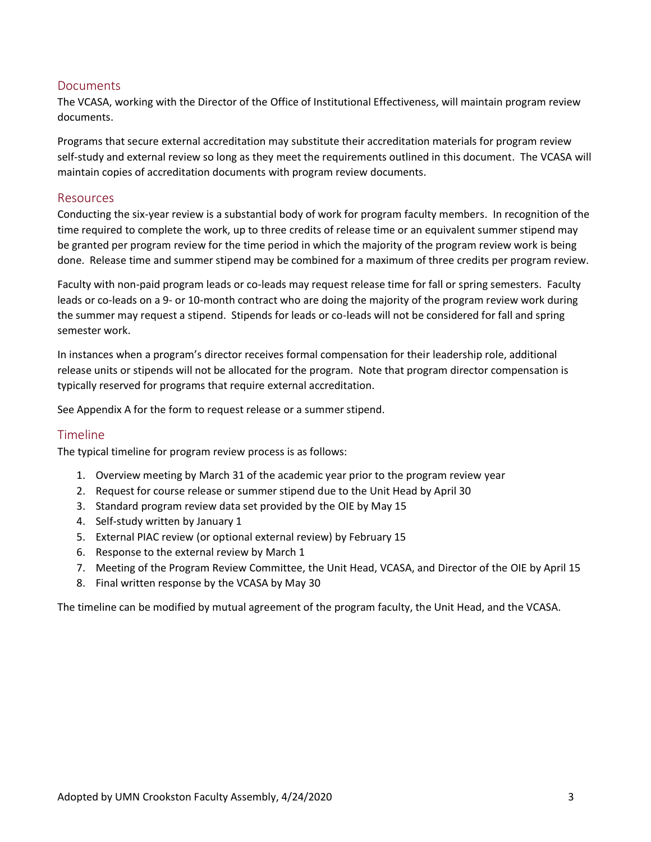## **Documents**

The VCASA, working with the Director of the Office of Institutional Effectiveness, will maintain program review documents.

Programs that secure external accreditation may substitute their accreditation materials for program review self-study and external review so long as they meet the requirements outlined in this document. The VCASA will maintain copies of accreditation documents with program review documents.

#### Resources

Conducting the six-year review is a substantial body of work for program faculty members. In recognition of the time required to complete the work, up to three credits of release time or an equivalent summer stipend may be granted per program review for the time period in which the majority of the program review work is being done. Release time and summer stipend may be combined for a maximum of three credits per program review.

Faculty with non-paid program leads or co-leads may request release time for fall or spring semesters. Faculty leads or co-leads on a 9- or 10-month contract who are doing the majority of the program review work during the summer may request a stipend. Stipends for leads or co-leads will not be considered for fall and spring semester work.

In instances when a program's director receives formal compensation for their leadership role, additional release units or stipends will not be allocated for the program. Note that program director compensation is typically reserved for programs that require external accreditation.

See Appendix A for the form to request release or a summer stipend.

#### Timeline

The typical timeline for program review process is as follows:

- 1. Overview meeting by March 31 of the academic year prior to the program review year
- 2. Request for course release or summer stipend due to the Unit Head by April 30
- 3. Standard program review data set provided by the OIE by May 15
- 4. Self-study written by January 1
- 5. External PIAC review (or optional external review) by February 15
- 6. Response to the external review by March 1
- 7. Meeting of the Program Review Committee, the Unit Head, VCASA, and Director of the OIE by April 15
- 8. Final written response by the VCASA by May 30

The timeline can be modified by mutual agreement of the program faculty, the Unit Head, and the VCASA.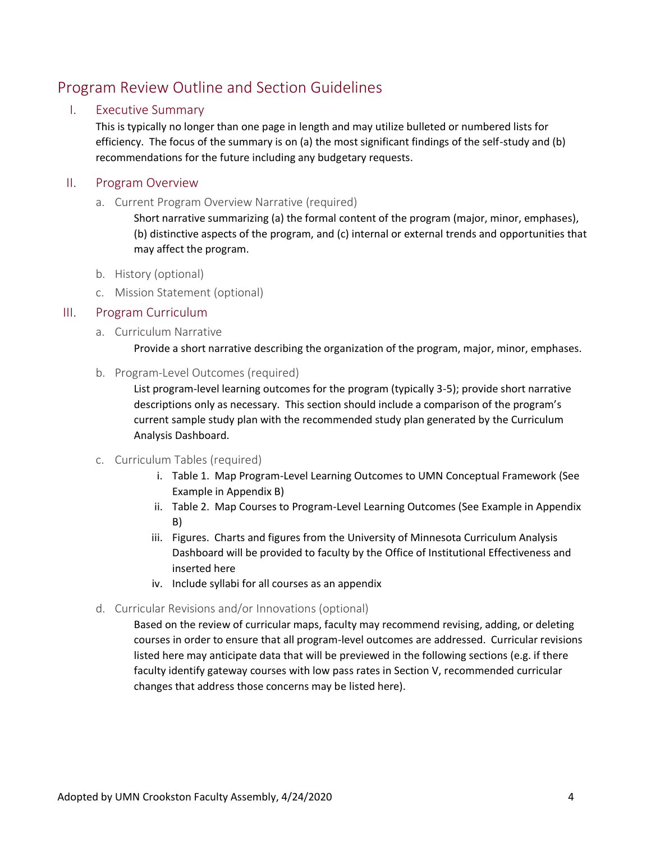# Program Review Outline and Section Guidelines

## I. Executive Summary

This is typically no longer than one page in length and may utilize bulleted or numbered lists for efficiency. The focus of the summary is on (a) the most significant findings of the self-study and (b) recommendations for the future including any budgetary requests.

## II. Program Overview

a. Current Program Overview Narrative (required)

Short narrative summarizing (a) the formal content of the program (major, minor, emphases), (b) distinctive aspects of the program, and (c) internal or external trends and opportunities that may affect the program.

- b. History (optional)
- c. Mission Statement (optional)

## III. Program Curriculum

- a. Curriculum Narrative
	- Provide a short narrative describing the organization of the program, major, minor, emphases.
- b. Program-Level Outcomes (required)

List program-level learning outcomes for the program (typically 3-5); provide short narrative descriptions only as necessary. This section should include a comparison of the program's current sample study plan with the recommended study plan generated by the Curriculum Analysis Dashboard.

#### c. Curriculum Tables (required)

- i. Table 1. Map Program-Level Learning Outcomes to UMN Conceptual Framework (See Example in Appendix B)
- ii. Table 2. Map Courses to Program-Level Learning Outcomes (See Example in Appendix B)
- iii. Figures. Charts and figures from the University of Minnesota Curriculum Analysis Dashboard will be provided to faculty by the Office of Institutional Effectiveness and inserted here
- iv. Include syllabi for all courses as an appendix

#### d. Curricular Revisions and/or Innovations (optional)

Based on the review of curricular maps, faculty may recommend revising, adding, or deleting courses in order to ensure that all program-level outcomes are addressed. Curricular revisions listed here may anticipate data that will be previewed in the following sections (e.g. if there faculty identify gateway courses with low pass rates in Section V, recommended curricular changes that address those concerns may be listed here).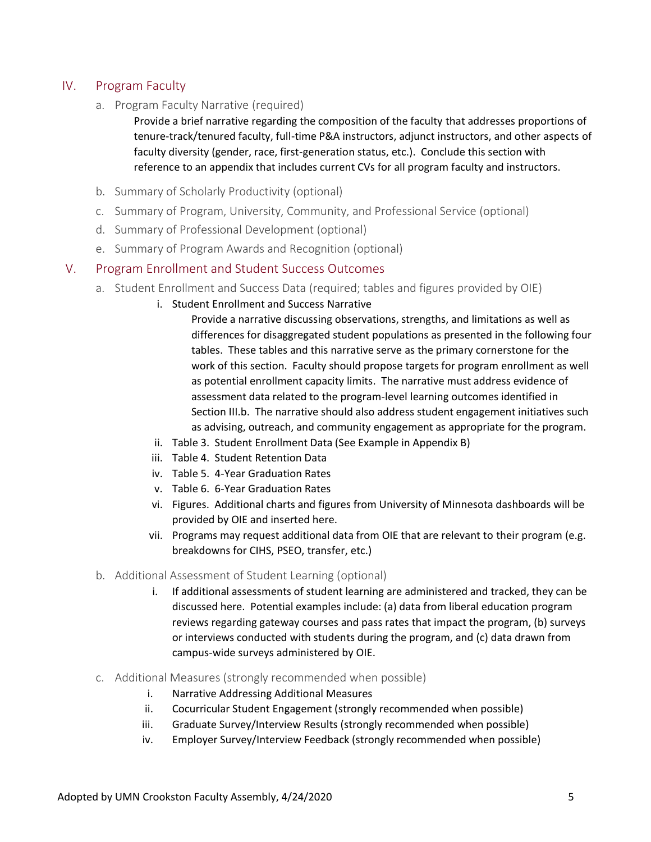## IV. Program Faculty

a. Program Faculty Narrative (required)

Provide a brief narrative regarding the composition of the faculty that addresses proportions of tenure-track/tenured faculty, full-time P&A instructors, adjunct instructors, and other aspects of faculty diversity (gender, race, first-generation status, etc.). Conclude this section with reference to an appendix that includes current CVs for all program faculty and instructors.

- b. Summary of Scholarly Productivity (optional)
- c. Summary of Program, University, Community, and Professional Service (optional)
- d. Summary of Professional Development (optional)
- e. Summary of Program Awards and Recognition (optional)

#### V. Program Enrollment and Student Success Outcomes

- a. Student Enrollment and Success Data (required; tables and figures provided by OIE)
	- i. Student Enrollment and Success Narrative

Provide a narrative discussing observations, strengths, and limitations as well as differences for disaggregated student populations as presented in the following four tables. These tables and this narrative serve as the primary cornerstone for the work of this section. Faculty should propose targets for program enrollment as well as potential enrollment capacity limits. The narrative must address evidence of assessment data related to the program-level learning outcomes identified in Section III.b. The narrative should also address student engagement initiatives such as advising, outreach, and community engagement as appropriate for the program.

- ii. Table 3. Student Enrollment Data (See Example in Appendix B)
- iii. Table 4. Student Retention Data
- iv. Table 5. 4-Year Graduation Rates
- v. Table 6. 6-Year Graduation Rates
- vi. Figures. Additional charts and figures from University of Minnesota dashboards will be provided by OIE and inserted here.
- vii. Programs may request additional data from OIE that are relevant to their program (e.g. breakdowns for CIHS, PSEO, transfer, etc.)
- b. Additional Assessment of Student Learning (optional)
	- i. If additional assessments of student learning are administered and tracked, they can be discussed here. Potential examples include: (a) data from liberal education program reviews regarding gateway courses and pass rates that impact the program, (b) surveys or interviews conducted with students during the program, and (c) data drawn from campus-wide surveys administered by OIE.
- c. Additional Measures (strongly recommended when possible)
	- i. Narrative Addressing Additional Measures
	- ii. Cocurricular Student Engagement (strongly recommended when possible)
	- iii. Graduate Survey/Interview Results (strongly recommended when possible)
	- iv. Employer Survey/Interview Feedback (strongly recommended when possible)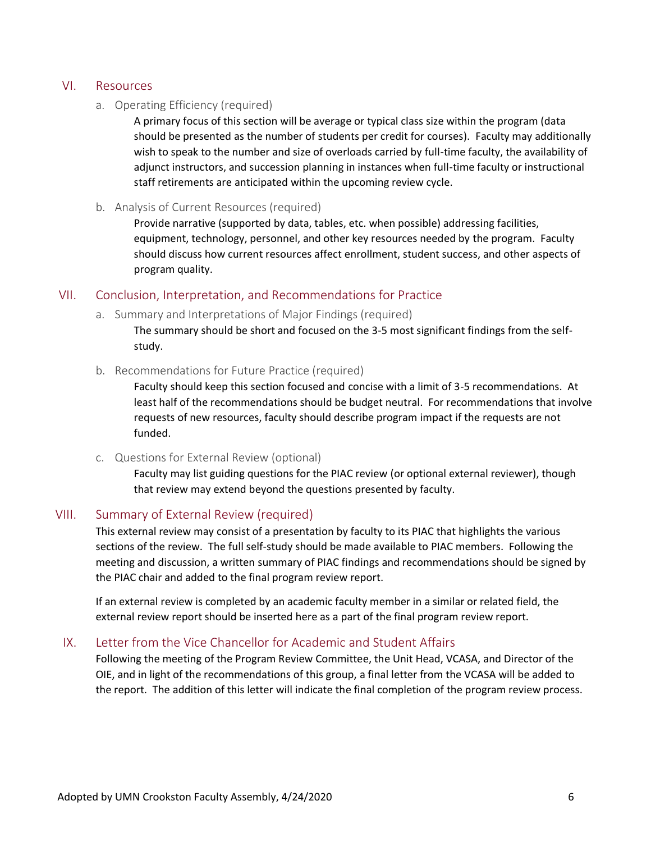#### VI. Resources

#### a. Operating Efficiency (required)

A primary focus of this section will be average or typical class size within the program (data should be presented as the number of students per credit for courses). Faculty may additionally wish to speak to the number and size of overloads carried by full-time faculty, the availability of adjunct instructors, and succession planning in instances when full-time faculty or instructional staff retirements are anticipated within the upcoming review cycle.

#### b. Analysis of Current Resources (required)

Provide narrative (supported by data, tables, etc. when possible) addressing facilities, equipment, technology, personnel, and other key resources needed by the program. Faculty should discuss how current resources affect enrollment, student success, and other aspects of program quality.

## VII. Conclusion, Interpretation, and Recommendations for Practice

a. Summary and Interpretations of Major Findings (required)

The summary should be short and focused on the 3-5 most significant findings from the selfstudy.

b. Recommendations for Future Practice (required)

Faculty should keep this section focused and concise with a limit of 3-5 recommendations. At least half of the recommendations should be budget neutral. For recommendations that involve requests of new resources, faculty should describe program impact if the requests are not funded.

c. Questions for External Review (optional)

Faculty may list guiding questions for the PIAC review (or optional external reviewer), though that review may extend beyond the questions presented by faculty.

#### VIII. Summary of External Review (required)

This external review may consist of a presentation by faculty to its PIAC that highlights the various sections of the review. The full self-study should be made available to PIAC members. Following the meeting and discussion, a written summary of PIAC findings and recommendations should be signed by the PIAC chair and added to the final program review report.

If an external review is completed by an academic faculty member in a similar or related field, the external review report should be inserted here as a part of the final program review report.

#### IX. Letter from the Vice Chancellor for Academic and Student Affairs

Following the meeting of the Program Review Committee, the Unit Head, VCASA, and Director of the OIE, and in light of the recommendations of this group, a final letter from the VCASA will be added to the report. The addition of this letter will indicate the final completion of the program review process.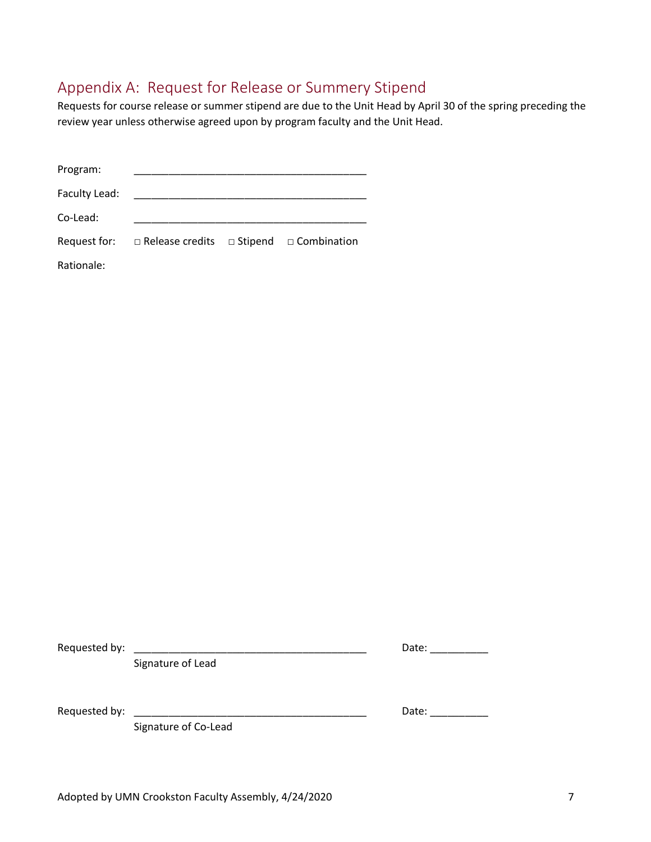## Appendix A: Request for Release or Summery Stipend

Requests for course release or summer stipend are due to the Unit Head by April 30 of the spring preceding the review year unless otherwise agreed upon by program faculty and the Unit Head.

| Program:      |                                                          |  |
|---------------|----------------------------------------------------------|--|
| Faculty Lead: |                                                          |  |
| Co-Lead:      |                                                          |  |
| Request for:  | $\Box$ Release credits $\Box$ Stipend $\Box$ Combination |  |
| Rationale:    |                                                          |  |

Requested by:

Signature of Lead

| ۔ مص<br>ירי<br>Jale |  |  |  |
|---------------------|--|--|--|
|                     |  |  |  |

Signature of Co-Lead

Requested by: \_\_\_\_\_\_\_\_\_\_\_\_\_\_\_\_\_\_\_\_\_\_\_\_\_\_\_\_\_\_\_\_\_\_\_\_\_\_\_\_ Date: \_\_\_\_\_\_\_\_\_\_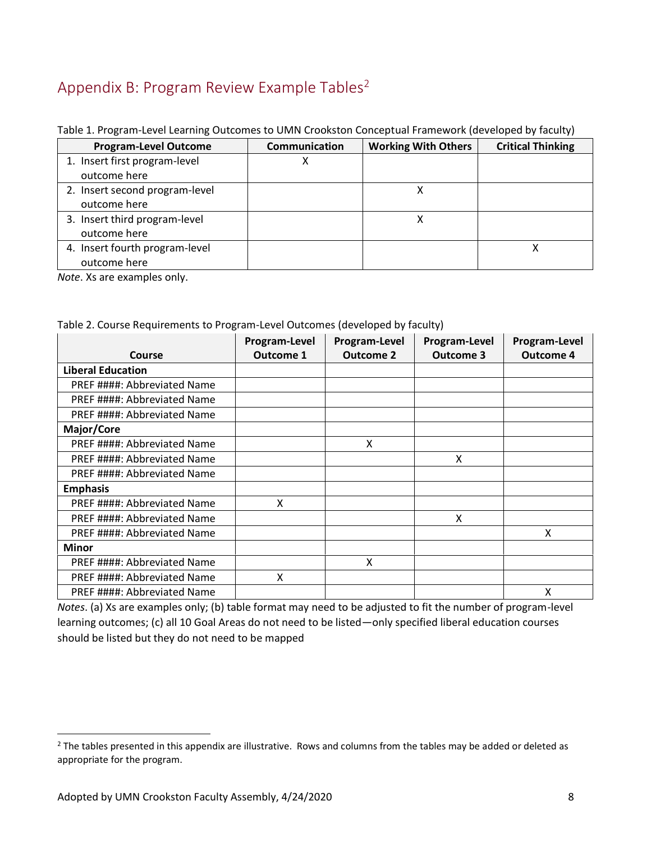# Appendix B: Program Review Example Tables<sup>2</sup>

| <b>Program-Level Outcome</b>   | Communication | <b>Working With Others</b> | <b>Critical Thinking</b> |
|--------------------------------|---------------|----------------------------|--------------------------|
| 1. Insert first program-level  |               |                            |                          |
| outcome here                   |               |                            |                          |
| 2. Insert second program-level |               |                            |                          |
| outcome here                   |               |                            |                          |
| 3. Insert third program-level  |               |                            |                          |
| outcome here                   |               |                            |                          |
| 4. Insert fourth program-level |               |                            |                          |
| outcome here                   |               |                            |                          |

#### Table 1. Program-Level Learning Outcomes to UMN Crookston Conceptual Framework (developed by faculty)

*Note*. Xs are examples only.

#### Table 2. Course Requirements to Program-Level Outcomes (developed by faculty)

|                             | Program-Level    | Program-Level    | Program-Level    | Program-Level    |
|-----------------------------|------------------|------------------|------------------|------------------|
| <b>Course</b>               | <b>Outcome 1</b> | <b>Outcome 2</b> | <b>Outcome 3</b> | <b>Outcome 4</b> |
| <b>Liberal Education</b>    |                  |                  |                  |                  |
| PREF ####: Abbreviated Name |                  |                  |                  |                  |
| PREF ####: Abbreviated Name |                  |                  |                  |                  |
| PREF ####: Abbreviated Name |                  |                  |                  |                  |
| Major/Core                  |                  |                  |                  |                  |
| PREF ####: Abbreviated Name |                  | X                |                  |                  |
| PREF ####: Abbreviated Name |                  |                  | X                |                  |
| PREF ####: Abbreviated Name |                  |                  |                  |                  |
| <b>Emphasis</b>             |                  |                  |                  |                  |
| PREF ####: Abbreviated Name | X                |                  |                  |                  |
| PREF ####: Abbreviated Name |                  |                  | X                |                  |
| PREF ####: Abbreviated Name |                  |                  |                  | X                |
| Minor                       |                  |                  |                  |                  |
| PREF ####: Abbreviated Name |                  | X                |                  |                  |
| PREF ####: Abbreviated Name | X                |                  |                  |                  |
| PREF ####: Abbreviated Name |                  |                  |                  | x                |

*Notes*. (a) Xs are examples only; (b) table format may need to be adjusted to fit the number of program-level learning outcomes; (c) all 10 Goal Areas do not need to be listed—only specified liberal education courses should be listed but they do not need to be mapped

 $\overline{a}$ 

<sup>&</sup>lt;sup>2</sup> The tables presented in this appendix are illustrative. Rows and columns from the tables may be added or deleted as appropriate for the program.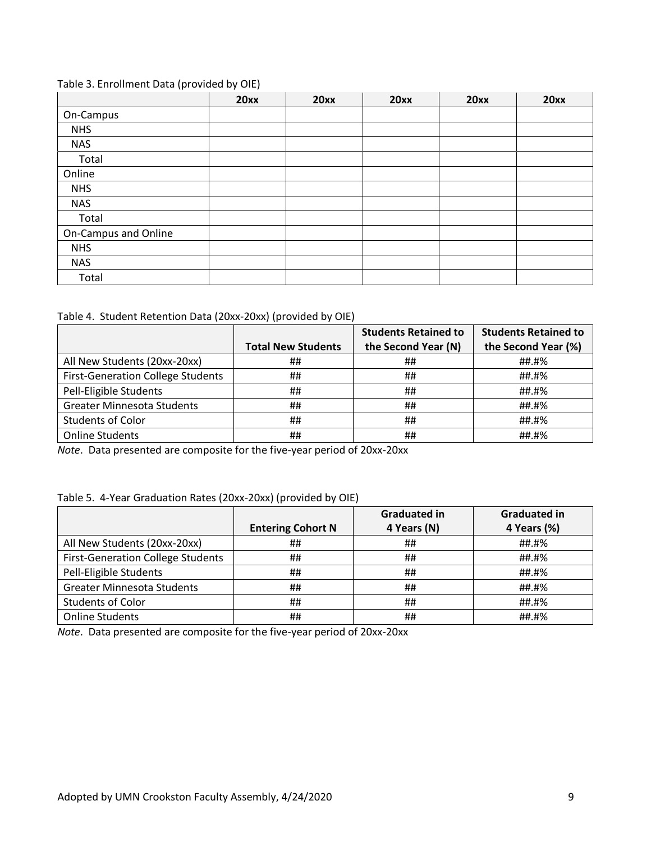#### Table 3. Enrollment Data (provided by OIE)

|                      | 20xx | 20xx | 20xx | 20xx | 20xx |
|----------------------|------|------|------|------|------|
| On-Campus            |      |      |      |      |      |
| <b>NHS</b>           |      |      |      |      |      |
| <b>NAS</b>           |      |      |      |      |      |
| Total                |      |      |      |      |      |
| Online               |      |      |      |      |      |
| <b>NHS</b>           |      |      |      |      |      |
| <b>NAS</b>           |      |      |      |      |      |
| Total                |      |      |      |      |      |
| On-Campus and Online |      |      |      |      |      |
| <b>NHS</b>           |      |      |      |      |      |
| <b>NAS</b>           |      |      |      |      |      |
| Total                |      |      |      |      |      |

#### Table 4. Student Retention Data (20xx-20xx) (provided by OIE)

|                                          |                           | <b>Students Retained to</b> | <b>Students Retained to</b> |
|------------------------------------------|---------------------------|-----------------------------|-----------------------------|
|                                          | <b>Total New Students</b> | the Second Year (N)         | the Second Year (%)         |
| All New Students (20xx-20xx)             | ##                        | ##                          | ##.#%                       |
| <b>First-Generation College Students</b> | ##                        | ##                          | ##.#%                       |
| Pell-Eligible Students                   | ##                        | ##                          | ##.#%                       |
| <b>Greater Minnesota Students</b>        | ##                        | ##                          | ##.#%                       |
| <b>Students of Color</b>                 | ##                        | ##                          | ##.#%                       |
| <b>Online Students</b>                   | ##                        | ##                          | ##.#%                       |

*Note*. Data presented are composite for the five-year period of 20xx-20xx

#### Table 5. 4-Year Graduation Rates (20xx-20xx) (provided by OIE)

|                                          |                          | <b>Graduated in</b> | <b>Graduated in</b> |
|------------------------------------------|--------------------------|---------------------|---------------------|
|                                          | <b>Entering Cohort N</b> | 4 Years (N)         | 4 Years (%)         |
| All New Students (20xx-20xx)             | ##                       | ##                  | ##.#%               |
| <b>First-Generation College Students</b> | ##                       | ##                  | ##.#%               |
| Pell-Eligible Students                   | ##                       | ##                  | ##.#%               |
| <b>Greater Minnesota Students</b>        | ##                       | ##                  | ##.#%               |
| <b>Students of Color</b>                 | ##                       | ##                  | ##.#%               |
| <b>Online Students</b>                   | ##                       | ##                  | ##.#%               |

*Note*. Data presented are composite for the five-year period of 20xx-20xx